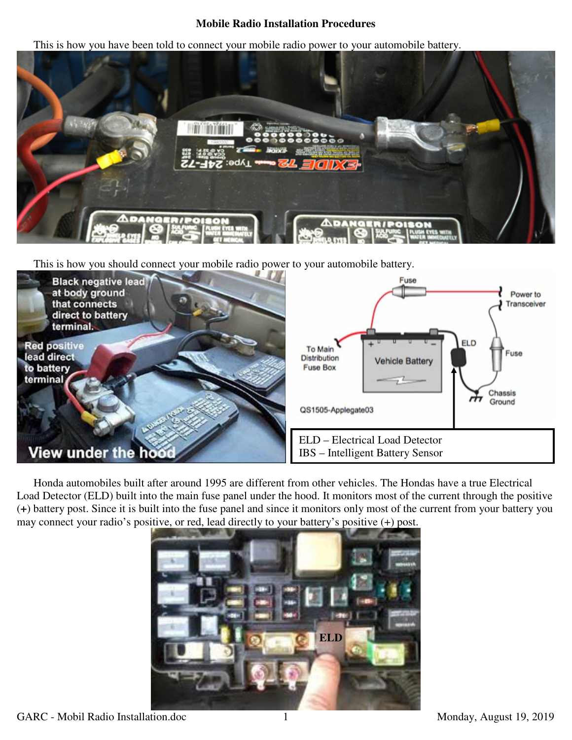## **Mobile Radio Installation Procedures**

This is how you have been told to connect your mobile radio power to your automobile battery.



This is how you should connect your mobile radio power to your automobile battery.



Honda automobiles built after around 1995 are different from other vehicles. The Hondas have a true Electrical Load Detector (ELD) built into the main fuse panel under the hood. It monitors most of the current through the positive (**+**) battery post. Since it is built into the fuse panel and since it monitors only most of the current from your battery you may connect your radio's positive, or red, lead directly to your battery's positive (+) post.